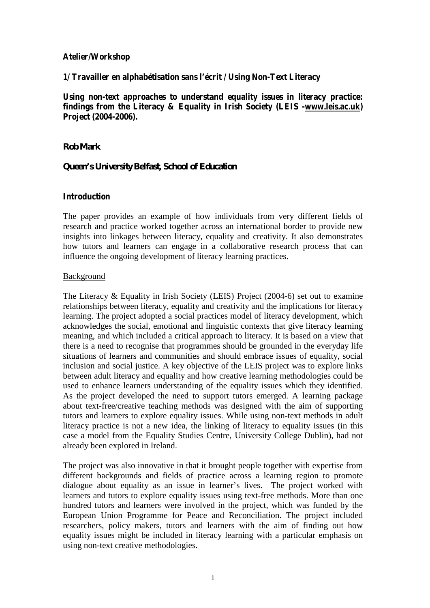# **Atelier/Workshop**

**1/ Travailler en alphabétisation sans l'écrit / Using Non-Text Literacy**

**Using non-text approaches to understand equality issues in literacy practice: findings from the Literacy & Equality in Irish Society (LEIS [-www.leis.ac.uk\)](http://www.leis.ac.uk) Project (2004-2006).**

# *Rob Mark*

# *Queen's University Belfast, School of Education*

## **Introduction**

The paper provides an example of how individuals from very different fields of research and practice worked together across an international border to provide new insights into linkages between literacy, equality and creativity. It also demonstrates how tutors and learners can engage in a collaborative research process that can influence the ongoing development of literacy learning practices.

#### Background

The Literacy & Equality in Irish Society (LEIS) Project (2004-6) set out to examine relationships between literacy, equality and creativity and the implications for literacy learning. The project adopted a social practices model of literacy development, which acknowledges the social, emotional and linguistic contexts that give literacy learning meaning, and which included a critical approach to literacy. It is based on a view that there is a need to recognise that programmes should be grounded in the everyday life situations of learners and communities and should embrace issues of equality, social inclusion and social justice. A key objective of the LEIS project was to explore links between adult literacy and equality and how creative learning methodologies could be used to enhance learners understanding of the equality issues which they identified. As the project developed the need to support tutors emerged. A learning package about text-free/creative teaching methods was designed with the aim of supporting tutors and learners to explore equality issues. While using non-text methods in adult literacy practice is not a new idea, the linking of literacy to equality issues (in this case a model from the Equality Studies Centre, University College Dublin), had not already been explored in Ireland.

The project was also innovative in that it brought people together with expertise from different backgrounds and fields of practice across a learning region to promote dialogue about equality as an issue in learner's lives. The project worked with learners and tutors to explore equality issues using text-free methods. More than one hundred tutors and learners were involved in the project, which was funded by the European Union Programme for Peace and Reconciliation. The project included researchers, policy makers, tutors and learners with the aim of finding out how equality issues might be included in literacy learning with a particular emphasis on using non-text creative methodologies.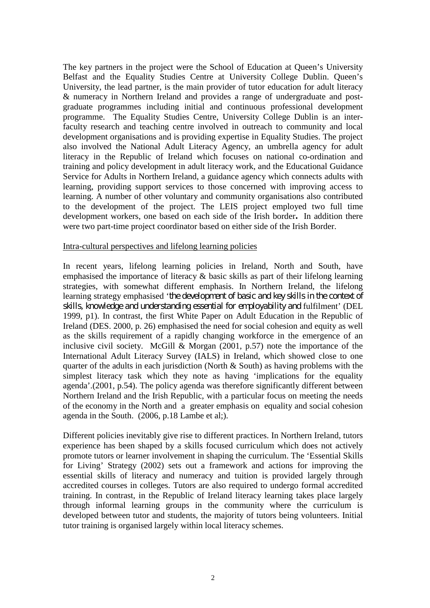The key partners in the project were the School of Education at Queen's University Belfast and the Equality Studies Centre at University College Dublin. Queen's University, the lead partner, is the main provider of tutor education for adult literacy & numeracy in Northern Ireland and provides a range of undergraduate and postgraduate programmes including initial and continuous professional development programme. The Equality Studies Centre, University College Dublin is an interfaculty research and teaching centre involved in outreach to community and local development organisations and is providing expertise in Equality Studies. The project also involved the National Adult Literacy Agency, an umbrella agency for adult literacy in the Republic of Ireland which focuses on national co-ordination and training and policy development in adult literacy work, and the Educational Guidance Service for Adults in Northern Ireland, a guidance agency which connects adults with learning, providing support services to those concerned with improving access to learning. A number of other voluntary and community organisations also contributed to the development of the project. The LEIS project employed two full time development workers, one based on each side of the Irish border**.** In addition there were two part-time project coordinator based on either side of the Irish Border.

#### Intra-cultural perspectives and lifelong learning policies

In recent years, lifelong learning policies in Ireland, North and South, have emphasised the importance of literacy & basic skills as part of their lifelong learning strategies, with somewhat different emphasis. In Northern Ireland, the lifelong learning strategy emphasised '*the development of basic and key skills in the context of skills, knowledge and understanding essential for employability and* fulfilment' (DEL 1999, p1). In contrast, the first White Paper on Adult Education in the Republic of Ireland (DES. 2000, p. 26) emphasised the need for social cohesion and equity as well as the skills requirement of a rapidly changing workforce in the emergence of an inclusive civil society. McGill & Morgan  $(2001, p.57)$  note the importance of the International Adult Literacy Survey (IALS) in Ireland, which showed close to one quarter of the adults in each jurisdiction (North & South) as having problems with the simplest literacy task which they note as having 'implications for the equality agenda'.(2001, p.54). The policy agenda was therefore significantly different between Northern Ireland and the Irish Republic, with a particular focus on meeting the needs of the economy in the North and a greater emphasis on equality and social cohesion agenda in the South. (2006, p.18 Lambe et al;).

Different policies inevitably give rise to different practices. In Northern Ireland, tutors experience has been shaped by a skills focused curriculum which does not actively promote tutors or learner involvement in shaping the curriculum. The 'Essential Skills for Living' Strategy (2002) sets out a framework and actions for improving the essential skills of literacy and numeracy and tuition is provided largely through accredited courses in colleges. Tutors are also required to undergo formal accredited training. In contrast, in the Republic of Ireland literacy learning takes place largely through informal learning groups in the community where the curriculum is developed between tutor and students, the majority of tutors being volunteers. Initial tutor training is organised largely within local literacy schemes.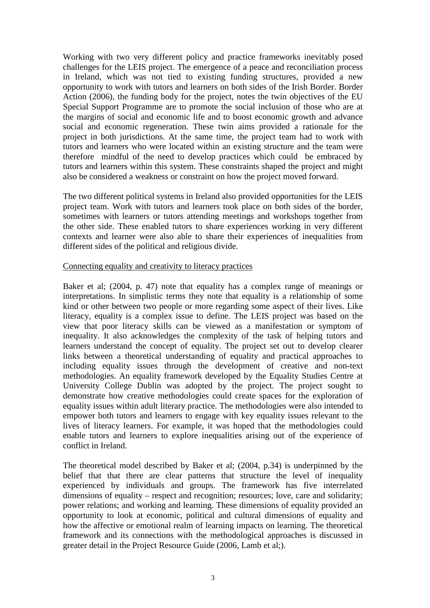Working with two very different policy and practice frameworks inevitably posed challenges for the LEIS project. The emergence of a peace and reconciliation process in Ireland, which was not tied to existing funding structures, provided a new opportunity to work with tutors and learners on both sides of the Irish Border. Border Action (2006), the funding body for the project, notes the twin objectives of the EU Special Support Programme are to promote the social inclusion of those who are at the margins of social and economic life and to boost economic growth and advance social and economic regeneration. These twin aims provided a rationale for the project in both jurisdictions. At the same time, the project team had to work with tutors and learners who were located within an existing structure and the team were therefore mindful of the need to develop practices which could be embraced by tutors and learners within this system. These constraints shaped the project and might also be considered a weakness or constraint on how the project moved forward.

The two different political systems in Ireland also provided opportunities for the LEIS project team. Work with tutors and learners took place on both sides of the border, sometimes with learners or tutors attending meetings and workshops together from the other side. These enabled tutors to share experiences working in very different contexts and learner were also able to share their experiences of inequalities from different sides of the political and religious divide.

#### Connecting equality and creativity to literacy practices

Baker et al; (2004, p. 47) note that equality has a complex range of meanings or interpretations. In simplistic terms they note that equality is a relationship of some kind or other between two people or more regarding some aspect of their lives. Like literacy, equality is a complex issue to define. The LEIS project was based on the view that poor literacy skills can be viewed as a manifestation or symptom of inequality. It also acknowledges the complexity of the task of helping tutors and learners understand the concept of equality. The project set out to develop clearer links between a theoretical understanding of equality and practical approaches to including equality issues through the development of creative and non-text methodologies. An equality framework developed by the Equality Studies Centre at University College Dublin was adopted by the project. The project sought to demonstrate how creative methodologies could create spaces for the exploration of equality issues within adult literary practice. The methodologies were also intended to empower both tutors and learners to engage with key equality issues relevant to the lives of literacy learners. For example, it was hoped that the methodologies could enable tutors and learners to explore inequalities arising out of the experience of conflict in Ireland.

The theoretical model described by Baker et al; (2004, p.34) is underpinned by the belief that that there are clear patterns that structure the level of inequality experienced by individuals and groups. The framework has five interrelated dimensions of equality – respect and recognition; resources; love, care and solidarity; power relations; and working and learning. These dimensions of equality provided an opportunity to look at economic, political and cultural dimensions of equality and how the affective or emotional realm of learning impacts on learning. The theoretical framework and its connections with the methodological approaches is discussed in greater detail in the Project Resource Guide (2006, Lamb et al;).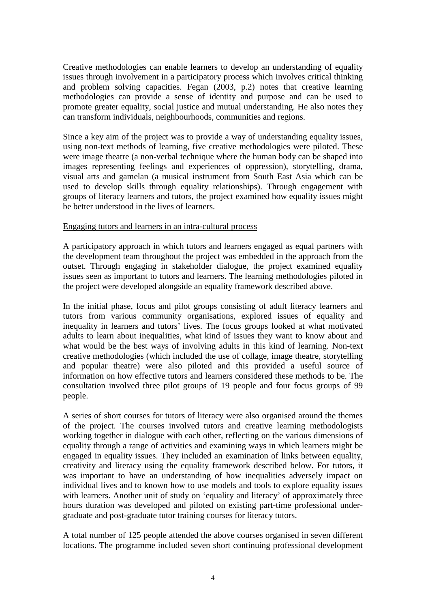Creative methodologies can enable learners to develop an understanding of equality issues through involvement in a participatory process which involves critical thinking and problem solving capacities. Fegan (2003, p.2) notes that creative learning methodologies can provide a sense of identity and purpose and can be used to promote greater equality, social justice and mutual understanding. He also notes they can transform individuals, neighbourhoods, communities and regions.

Since a key aim of the project was to provide a way of understanding equality issues, using non-text methods of learning, five creative methodologies were piloted. These were image theatre (a non-verbal technique where the human body can be shaped into images representing feelings and experiences of oppression), storytelling, drama, visual arts and gamelan (a musical instrument from South East Asia which can be used to develop skills through equality relationships). Through engagement with groups of literacy learners and tutors, the project examined how equality issues might be better understood in the lives of learners.

### Engaging tutors and learners in an intra-cultural process

A participatory approach in which tutors and learners engaged as equal partners with the development team throughout the project was embedded in the approach from the outset. Through engaging in stakeholder dialogue, the project examined equality issues seen as important to tutors and learners. The learning methodologies piloted in the project were developed alongside an equality framework described above.

In the initial phase, focus and pilot groups consisting of adult literacy learners and tutors from various community organisations, explored issues of equality and inequality in learners and tutors' lives. The focus groups looked at what motivated adults to learn about inequalities, what kind of issues they want to know about and what would be the best ways of involving adults in this kind of learning. Non-text creative methodologies (which included the use of collage, image theatre, storytelling and popular theatre) were also piloted and this provided a useful source of information on how effective tutors and learners considered these methods to be. The consultation involved three pilot groups of 19 people and four focus groups of 99 people.

A series of short courses for tutors of literacy were also organised around the themes of the project. The courses involved tutors and creative learning methodologists working together in dialogue with each other, reflecting on the various dimensions of equality through a range of activities and examining ways in which learners might be engaged in equality issues. They included an examination of links between equality, creativity and literacy using the equality framework described below. For tutors, it was important to have an understanding of how inequalities adversely impact on individual lives and to known how to use models and tools to explore equality issues with learners. Another unit of study on 'equality and literacy' of approximately three hours duration was developed and piloted on existing part-time professional undergraduate and post-graduate tutor training courses for literacy tutors.

A total number of 125 people attended the above courses organised in seven different locations. The programme included seven short continuing professional development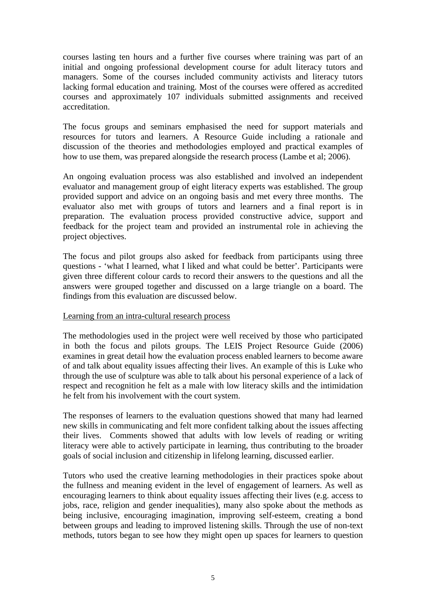courses lasting ten hours and a further five courses where training was part of an initial and ongoing professional development course for adult literacy tutors and managers. Some of the courses included community activists and literacy tutors lacking formal education and training. Most of the courses were offered as accredited courses and approximately 107 individuals submitted assignments and received accreditation.

The focus groups and seminars emphasised the need for support materials and resources for tutors and learners. A Resource Guide including a rationale and discussion of the theories and methodologies employed and practical examples of how to use them, was prepared alongside the research process (Lambe et al; 2006).

An ongoing evaluation process was also established and involved an independent evaluator and management group of eight literacy experts was established. The group provided support and advice on an ongoing basis and met every three months. The evaluator also met with groups of tutors and learners and a final report is in preparation. The evaluation process provided constructive advice, support and feedback for the project team and provided an instrumental role in achieving the project objectives.

The focus and pilot groups also asked for feedback from participants using three questions - 'what I learned, what I liked and what could be better'. Participants were given three different colour cards to record their answers to the questions and all the answers were grouped together and discussed on a large triangle on a board. The findings from this evaluation are discussed below.

## Learning from an intra-cultural research process

The methodologies used in the project were well received by those who participated in both the focus and pilots groups. The LEIS Project Resource Guide (2006) examines in great detail how the evaluation process enabled learners to become aware of and talk about equality issues affecting their lives. An example of this is Luke who through the use of sculpture was able to talk about his personal experience of a lack of respect and recognition he felt as a male with low literacy skills and the intimidation he felt from his involvement with the court system.

The responses of learners to the evaluation questions showed that many had learned new skills in communicating and felt more confident talking about the issues affecting their lives. Comments showed that adults with low levels of reading or writing literacy were able to actively participate in learning, thus contributing to the broader goals of social inclusion and citizenship in lifelong learning, discussed earlier.

Tutors who used the creative learning methodologies in their practices spoke about the fullness and meaning evident in the level of engagement of learners. As well as encouraging learners to think about equality issues affecting their lives (e.g. access to jobs, race, religion and gender inequalities), many also spoke about the methods as being inclusive, encouraging imagination, improving self-esteem, creating a bond between groups and leading to improved listening skills. Through the use of non-text methods, tutors began to see how they might open up spaces for learners to question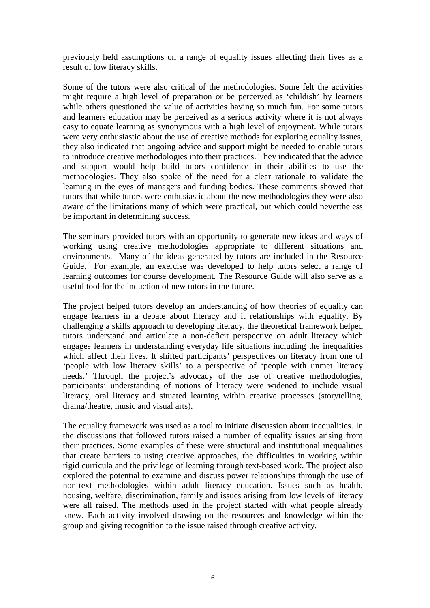previously held assumptions on a range of equality issues affecting their lives as a result of low literacy skills.

Some of the tutors were also critical of the methodologies. Some felt the activities might require a high level of preparation or be perceived as 'childish' by learners while others questioned the value of activities having so much fun. For some tutors and learners education may be perceived as a serious activity where it is not always easy to equate learning as synonymous with a high level of enjoyment. While tutors were very enthusiastic about the use of creative methods for exploring equality issues, they also indicated that ongoing advice and support might be needed to enable tutors to introduce creative methodologies into their practices. They indicated that the advice and support would help build tutors confidence in their abilities to use the methodologies. They also spoke of the need for a clear rationale to validate the learning in the eyes of managers and funding bodies**.** These comments showed that tutors that while tutors were enthusiastic about the new methodologies they were also aware of the limitations many of which were practical, but which could nevertheless be important in determining success.

The seminars provided tutors with an opportunity to generate new ideas and ways of working using creative methodologies appropriate to different situations and environments. Many of the ideas generated by tutors are included in the Resource Guide. For example, an exercise was developed to help tutors select a range of learning outcomes for course development. The Resource Guide will also serve as a useful tool for the induction of new tutors in the future.

The project helped tutors develop an understanding of how theories of equality can engage learners in a debate about literacy and it relationships with equality. By challenging a skills approach to developing literacy, the theoretical framework helped tutors understand and articulate a non-deficit perspective on adult literacy which engages learners in understanding everyday life situations including the inequalities which affect their lives. It shifted participants' perspectives on literacy from one of 'people with low literacy skills' to a perspective of 'people with unmet literacy needs.' Through the project's advocacy of the use of creative methodologies, participants' understanding of notions of literacy were widened to include visual literacy, oral literacy and situated learning within creative processes (storytelling, drama/theatre, music and visual arts).

The equality framework was used as a tool to initiate discussion about inequalities. In the discussions that followed tutors raised a number of equality issues arising from their practices. Some examples of these were structural and institutional inequalities that create barriers to using creative approaches, the difficulties in working within rigid curricula and the privilege of learning through text-based work. The project also explored the potential to examine and discuss power relationships through the use of non-text methodologies within adult literacy education. Issues such as health, housing, welfare, discrimination, family and issues arising from low levels of literacy were all raised. The methods used in the project started with what people already knew. Each activity involved drawing on the resources and knowledge within the group and giving recognition to the issue raised through creative activity.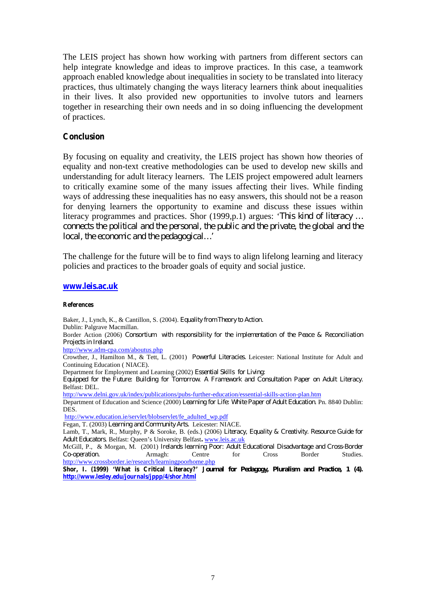The LEIS project has shown how working with partners from different sectors can help integrate knowledge and ideas to improve practices. In this case, a teamwork approach enabled knowledge about inequalities in society to be translated into literacy practices, thus ultimately changing the ways literacy learners think about inequalities in their lives. It also provided new opportunities to involve tutors and learners together in researching their own needs and in so doing influencing the development of practices.

#### **Conclusion**

By focusing on equality and creativity, the LEIS project has shown how theories of equality and non-text creative methodologies can be used to develop new skills and understanding for adult literacy learners. The LEIS project empowered adult learners to critically examine some of the many issues affecting their lives. While finding ways of addressing these inequalities has no easy answers, this should not be a reason for denying learners the opportunity to examine and discuss these issues within literacy programmes and practices. Shor (1999,p.1) argues: '*This kind of literacy … connects the political and the personal, the public and the private, the global and the local, the economic and the pedagogical…'*

The challenge for the future will be to find ways to align lifelong learning and literacy policies and practices to the broader goals of equity and social justice.

#### **[www.leis.ac.uk](http://www.leis.ac.uk)**

**References**

Baker, J., Lynch, K., & Cantillon, S. (2004). *Equality from Theory to Action.* Dublin: Palgrave Macmillan. Border Action (2006) *Consortium with responsibility for the implementation of the Peace & Reconciliation Projects in Ireland.* <http://www.adm-cpa.com/aboutus.php> Crowther, J., Hamilton M., & Tett, L. (2001) *Powerful Literacies.* Leicester: National Institute for Adult and Continuing Education ( NIACE). Department for Employment and Learning (2002) *Essential Skills for Living: Equipped for the Future: Building for Tomorrow*. *A Framework and Consultation Paper on Adult Literacy.* Belfast: DEL. <http://www.delni.gov.uk/index/publications/pubs-further-education/essential-skills-action-plan.htm> Department of Education and Science (2000) *Learning for Life: White Paper of Adult Education*. Pn. 8840 Dublin: DES. [http://www.education.ie/servlet/blobservlet/fe\\_adulted\\_wp.pdf](http://www.education.ie/servlet/blobservlet/fe_adulted_wp.pdf) Fegan, T. (2003) *Learning and Community Arts.* Leicester: NIACE. Lamb, T., Mark, R., Murphy, P & Soroke, B. (eds.) (2006) *Literacy, Equality & Creativity. Resource Guide for Adult Educators*. Belfast: Queen's University Belfast**.** [www.leis.ac.uk](http://www.leis.ac.uk) McGill, P., & Morgan, M. (2001) *Irelands learning Poor: Adult Educational Disadvantage and Cross-Border Co-operation.* 

<http://www.crossborder.ie/research/learningpoorhome.php> **Shor, I. (1999) 'What is Critical Literacy?' J***ournal for Pedagogy, Pluralism and Practice, 1 (4)***. <http://www.lesley.edu/journals/jppp/4/shor.html>**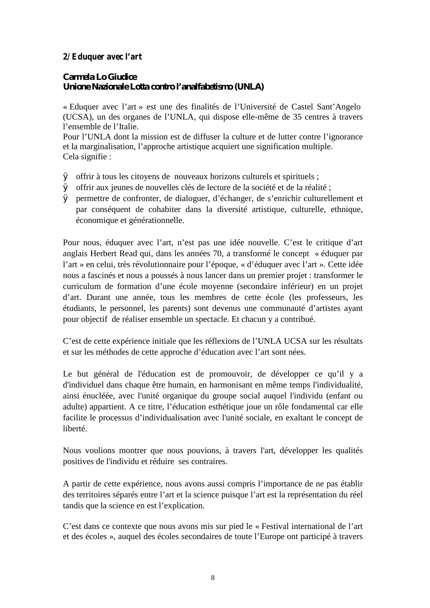# **2/ Eduquer avec l'art**

*Carmela Lo Giudice Unione Nazionale Lotta contro l'analfabetismo (UNLA)*

« Eduquer avec l'art » est une des finalités de l'Université de Castel Sant'Angelo (UCSA), un des organes de l'UNLA, qui dispose elle-même de 35 centres à travers l'ensemble de l'Italie.

Pour l'UNLA dont la mission est de diffuser la culture et de lutter contre l'ignorance et la marginalisation, l'approche artistique acquiert une signification multiple. Cela signifie :

- Ø offrir à tous les citoyens de nouveaux horizons culturels et spirituels ;
- Ø offrir aux jeunes de nouvelles clés de lecture de la société et de la réalité ;
- Ø permettre de confronter, de dialoguer, d'échanger, de s'enrichir culturellement et par conséquent de cohabiter dans la diversité artistique, culturelle, ethnique, économique et générationnelle.

Pour nous, éduquer avec l'art, n'est pas une idée nouvelle. C'est le critique d'art anglais Herbert Read qui, dans les années 70, a transformé le concept « éduquer par l'art » en celui, très révolutionnaire pour l'époque, « d'éduquer avec l'art ». Cette idée nous a fascinés et nous a poussés à nous lancer dans un premier projet : transformer le curriculum de formation d'une école moyenne (secondaire inférieur) en un projet d'art. Durant une année, tous les membres de cette école (les professeurs, les étudiants, le personnel, les parents) sont devenus une communauté d'artistes ayant pour objectif de réaliser ensemble un spectacle. Et chacun y a contribué.

C'est de cette expérience initiale que les réflexions de l'UNLA UCSA sur les résultats et sur les méthodes de cette approche d'éducation avec l'art sont nées.

Le but général de l'éducation est de promouvoir, de développer ce qu'il y a d'individuel dans chaque être humain, en harmonisant en même temps l'individualité, ainsi énucléée, avec l'unité organique du groupe social auquel l'individu (enfant ou adulte) appartient. A ce titre, l'éducation esthétique joue un rôle fondamental car elle facilite le processus d'individualisation avec l'unité sociale, en exaltant le concept de liberté.

Nous voulions montrer que nous pouvions, à travers l'art, développer les qualités positives de l'individu et réduire ses contraires.

A partir de cette expérience, nous avons aussi compris l'importance de ne pas établir des territoires séparés entre l'art et la science puisque l'art est la représentation du réel tandis que la science en est l'explication.

C'est dans ce contexte que nous avons mis sur pied le « Festival international de l'art et des écoles », auquel des écoles secondaires de toute l'Europe ont participé à travers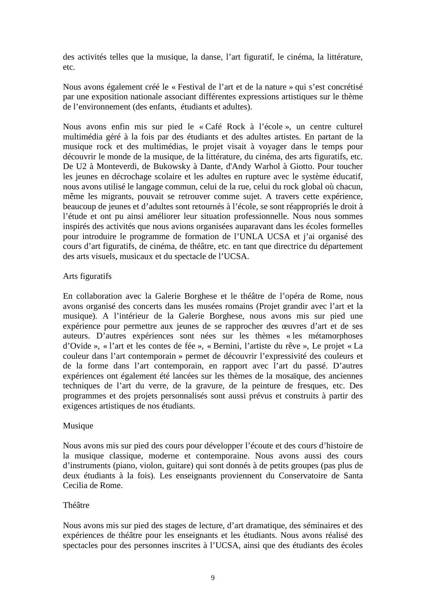des activités telles que la musique, la danse, l'art figuratif, le cinéma, la littérature, etc.

Nous avons également créé le « Festival de l'art et de la nature » qui s'est concrétisé par une exposition nationale associant différentes expressions artistiques sur le thème de l'environnement (des enfants, étudiants et adultes).

Nous avons enfin mis sur pied le « Café Rock à l'école », un centre culturel multimédia géré à la fois par des étudiants et des adultes artistes. En partant de la musique rock et des multimédias, le projet visait à voyager dans le temps pour découvrir le monde de la musique, de la littérature, du cinéma, des arts figuratifs, etc. De U2 à Monteverdi, de Bukowsky à Dante, d'Andy Warhol à Giotto. Pour toucher les jeunes en décrochage scolaire et les adultes en rupture avec le système éducatif, nous avons utilisé le langage commun, celui de la rue, celui du rock global où chacun, même les migrants, pouvait se retrouver comme sujet. A travers cette expérience, beaucoup de jeunes et d'adultes sont retournés à l'école, se sont réappropriés le droit à l'étude et ont pu ainsi améliorer leur situation professionnelle. Nous nous sommes inspirés des activités que nous avions organisées auparavant dans les écoles formelles pour introduire le programme de formation de l'UNLA UCSA et j'ai organisé des cours d'art figuratifs, de cinéma, de théâtre, etc. en tant que directrice du département des arts visuels, musicaux et du spectacle de l'UCSA.

## Arts figuratifs

En collaboration avec la Galerie Borghese et le théâtre de l'opéra de Rome, nous avons organisé des concerts dans les musées romains (Projet grandir avec l'art et la musique). A l'intérieur de la Galerie Borghese, nous avons mis sur pied une expérience pour permettre aux jeunes de se rapprocher des œuvres d'art et de ses auteurs. D'autres expériences sont nées sur les thèmes « les métamorphoses d'Ovide », « l'art et les contes de fée », « Bernini, l'artiste du rêve », Le projet « La couleur dans l'art contemporain » permet de découvrir l'expressivité des couleurs et de la forme dans l'art contemporain, en rapport avec l'art du passé. D'autres expériences ont également été lancées sur les thèmes de la mosaïque, des anciennes techniques de l'art du verre, de la gravure, de la peinture de fresques, etc. Des programmes et des projets personnalisés sont aussi prévus et construits à partir des exigences artistiques de nos étudiants.

## Musique

Nous avons mis sur pied des cours pour développer l'écoute et des cours d'histoire de la musique classique, moderne et contemporaine. Nous avons aussi des cours d'instruments (piano, violon, guitare) qui sont donnés à de petits groupes (pas plus de deux étudiants à la fois). Les enseignants proviennent du Conservatoire de Santa Cecilia de Rome.

## Théâtre

Nous avons mis sur pied des stages de lecture, d'art dramatique, des séminaires et des expériences de théâtre pour les enseignants et les étudiants. Nous avons réalisé des spectacles pour des personnes inscrites à l'UCSA, ainsi que des étudiants des écoles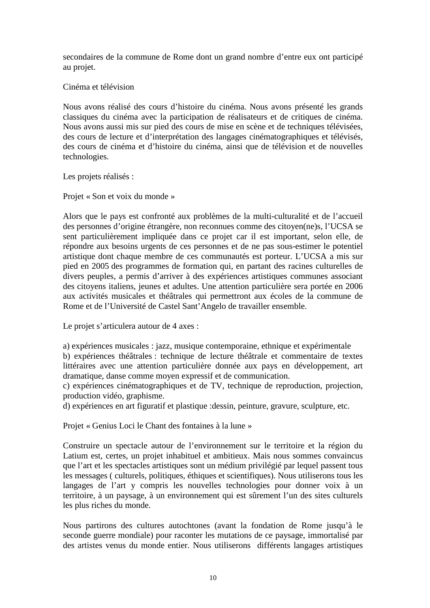secondaires de la commune de Rome dont un grand nombre d'entre eux ont participé au projet.

# Cinéma et télévision

Nous avons réalisé des cours d'histoire du cinéma. Nous avons présenté les grands classiques du cinéma avec la participation de réalisateurs et de critiques de cinéma. Nous avons aussi mis sur pied des cours de mise en scène et de techniques télévisées, des cours de lecture et d'interprétation des langages cinématographiques et télévisés, des cours de cinéma et d'histoire du cinéma, ainsi que de télévision et de nouvelles technologies.

Les projets réalisés :

Projet « Son et voix du monde »

Alors que le pays est confronté aux problèmes de la multi-culturalité et de l'accueil des personnes d'origine étrangère, non reconnues comme des citoyen(ne)s, l'UCSA se sent particulièrement impliquée dans ce projet car il est important, selon elle, de répondre aux besoins urgents de ces personnes et de ne pas sous-estimer le potentiel artistique dont chaque membre de ces communautés est porteur. L'UCSA a mis sur pied en 2005 des programmes de formation qui, en partant des racines culturelles de divers peuples, a permis d'arriver à des expériences artistiques communes associant des citoyens italiens, jeunes et adultes. Une attention particulière sera portée en 2006 aux activités musicales et théâtrales qui permettront aux écoles de la commune de Rome et de l'Université de Castel Sant'Angelo de travailler ensemble.

Le projet s'articulera autour de 4 axes :

a) expériences musicales : jazz, musique contemporaine, ethnique et expérimentale b) expériences théâtrales : technique de lecture théâtrale et commentaire de textes littéraires avec une attention particulière donnée aux pays en développement, art dramatique, danse comme moyen expressif et de communication.

c) expériences cinématographiques et de TV, technique de reproduction, projection, production vidéo, graphisme.

d) expériences en art figuratif et plastique :dessin, peinture, gravure, sculpture, etc.

Projet « Genius Loci le Chant des fontaines à la lune »

Construire un spectacle autour de l'environnement sur le territoire et la région du Latium est, certes, un projet inhabituel et ambitieux. Mais nous sommes convaincus que l'art et les spectacles artistiques sont un médium privilégié par lequel passent tous les messages ( culturels, politiques, éthiques et scientifiques). Nous utiliserons tous les langages de l'art y compris les nouvelles technologies pour donner voix à un territoire, à un paysage, à un environnement qui est sûrement l'un des sites culturels les plus riches du monde.

Nous partirons des cultures autochtones (avant la fondation de Rome jusqu'à le seconde guerre mondiale) pour raconter les mutations de ce paysage, immortalisé par des artistes venus du monde entier. Nous utiliserons différents langages artistiques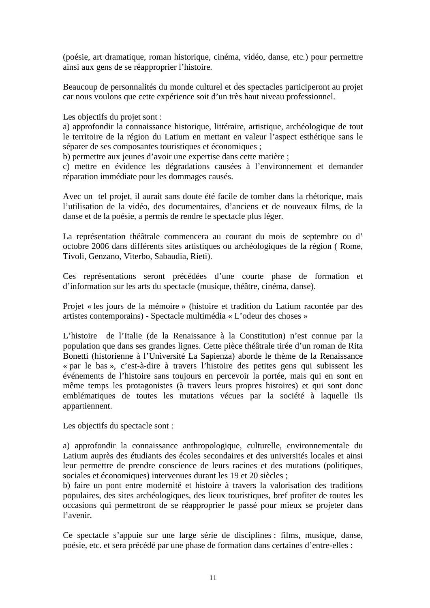(poésie, art dramatique, roman historique, cinéma, vidéo, danse, etc.) pour permettre ainsi aux gens de se réapproprier l'histoire.

Beaucoup de personnalités du monde culturel et des spectacles participeront au projet car nous voulons que cette expérience soit d'un très haut niveau professionnel.

Les objectifs du projet sont :

a) approfondir la connaissance historique, littéraire, artistique, archéologique de tout le territoire de la région du Latium en mettant en valeur l'aspect esthétique sans le séparer de ses composantes touristiques et économiques ;

b) permettre aux jeunes d'avoir une expertise dans cette matière ;

c) mettre en évidence les dégradations causées à l'environnement et demander réparation immédiate pour les dommages causés.

Avec un tel projet, il aurait sans doute été facile de tomber dans la rhétorique, mais l'utilisation de la vidéo, des documentaires, d'anciens et de nouveaux films, de la danse et de la poésie, a permis de rendre le spectacle plus léger.

La représentation théâtrale commencera au courant du mois de septembre ou d' octobre 2006 dans différents sites artistiques ou archéologiques de la région ( Rome, Tivoli, Genzano, Viterbo, Sabaudia, Rieti).

Ces représentations seront précédées d'une courte phase de formation et d'information sur les arts du spectacle (musique, théâtre, cinéma, danse).

Projet « les jours de la mémoire » (histoire et tradition du Latium racontée par des artistes contemporains) - Spectacle multimédia « L'odeur des choses »

L'histoire de l'Italie (de la Renaissance à la Constitution) n'est connue par la population que dans ses grandes lignes. Cette pièce théâtrale tirée d'un roman de Rita Bonetti (historienne à l'Université La Sapienza) aborde le thème de la Renaissance « par le bas », c'est-à-dire à travers l'histoire des petites gens qui subissent les événements de l'histoire sans toujours en percevoir la portée, mais qui en sont en même temps les protagonistes (à travers leurs propres histoires) et qui sont donc emblématiques de toutes les mutations vécues par la société à laquelle ils appartiennent.

Les objectifs du spectacle sont :

a) approfondir la connaissance anthropologique, culturelle, environnementale du Latium auprès des étudiants des écoles secondaires et des universités locales et ainsi leur permettre de prendre conscience de leurs racines et des mutations (politiques, sociales et économiques) intervenues durant les 19 et 20 siècles ;

b) faire un pont entre modernité et histoire à travers la valorisation des traditions populaires, des sites archéologiques, des lieux touristiques, bref profiter de toutes les occasions qui permettront de se réapproprier le passé pour mieux se projeter dans l'avenir.

Ce spectacle s'appuie sur une large série de disciplines : films, musique, danse, poésie, etc. et sera précédé par une phase de formation dans certaines d'entre-elles :